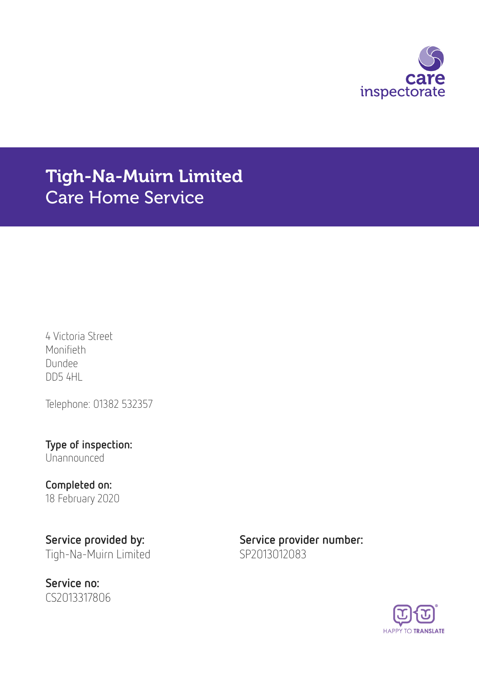

# Tigh-Na-Muirn Limited Care Home Service

4 Victoria Street Monifieth Dundee DD5 4HL

Telephone: 01382 532357

Type of inspection: Unannounced

# Completed on:

18 February 2020

Service no: CS2013317806

Service provided by: Service provider number: Tigh-Na-Muirn Limited SP2013012083

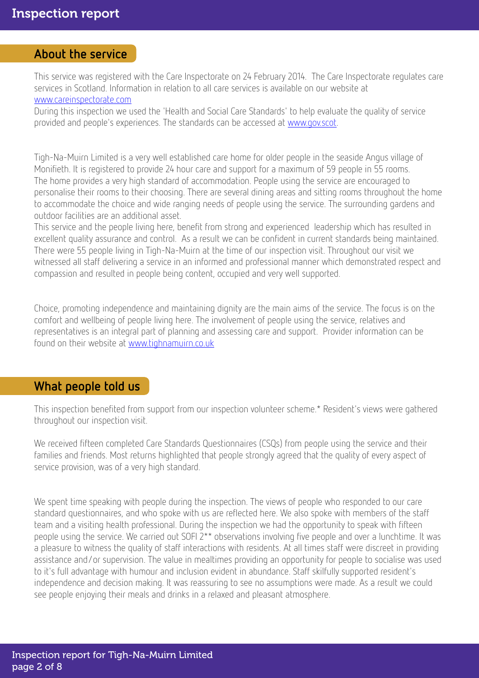#### About the service

This service was registered with the Care Inspectorate on 24 February 2014. The Care Inspectorate regulates care services in Scotland. Information in relation to all care services is available on our website at [www.careinspectorate.com](http://www.careinspectorate.com)

During this inspection we used the 'Health and Social Care Standards' to help evaluate the quality of service provided and people's experiences. The standards can be accessed at [www.gov.scot.](http://www.gov.scot)

Tigh-Na-Muirn Limited is a very well established care home for older people in the seaside Angus village of Monifieth. It is registered to provide 24 hour care and support for a maximum of 59 people in 55 rooms. The home provides a very high standard of accommodation. People using the service are encouraged to personalise their rooms to their choosing. There are several dining areas and sitting rooms throughout the home to accommodate the choice and wide ranging needs of people using the service. The surrounding gardens and outdoor facilities are an additional asset.

This service and the people living here, benefit from strong and experienced leadership which has resulted in excellent quality assurance and control. As a result we can be confident in current standards being maintained. There were 55 people living in Tigh-Na-Muirn at the time of our inspection visit. Throughout our visit we witnessed all staff delivering a service in an informed and professional manner which demonstrated respect and compassion and resulted in people being content, occupied and very well supported.

Choice, promoting independence and maintaining dignity are the main aims of the service. The focus is on the comfort and wellbeing of people living here. The involvement of people using the service, relatives and representatives is an integral part of planning and assessing care and support. Provider information can be found on their website at [www.tighnamuirn.co.uk](http://www.tighnamuirn.co.uk)

#### What people told us

This inspection benefited from support from our inspection volunteer scheme.\* Resident's views were gathered throughout our inspection visit.

We received fifteen completed Care Standards Questionnaires (CSQs) from people using the service and their families and friends. Most returns highlighted that people strongly agreed that the quality of every aspect of service provision, was of a very high standard.

We spent time speaking with people during the inspection. The views of people who responded to our care standard questionnaires, and who spoke with us are reflected here. We also spoke with members of the staff team and a visiting health professional. During the inspection we had the opportunity to speak with fifteen people using the service. We carried out SOFI 2\*\* observations involving five people and over a lunchtime. It was a pleasure to witness the quality of staff interactions with residents. At all times staff were discreet in providing assistance and/or supervision. The value in mealtimes providing an opportunity for people to socialise was used to it's full advantage with humour and inclusion evident in abundance. Staff skilfully supported resident's independence and decision making. It was reassuring to see no assumptions were made. As a result we could see people enjoying their meals and drinks in a relaxed and pleasant atmosphere.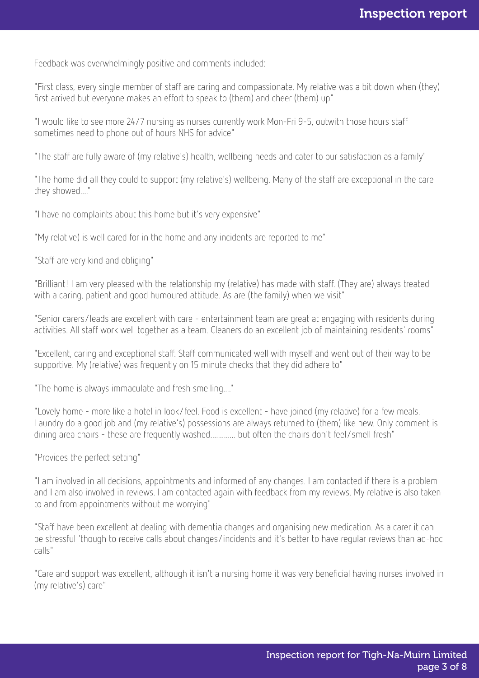Feedback was overwhelmingly positive and comments included:

"First class, every single member of staff are caring and compassionate. My relative was a bit down when (they) first arrived but everyone makes an effort to speak to (them) and cheer (them) up"

"I would like to see more 24/7 nursing as nurses currently work Mon-Fri 9-5, outwith those hours staff sometimes need to phone out of hours NHS for advice"

"The staff are fully aware of (my relative's) health, wellbeing needs and cater to our satisfaction as a family"

"The home did all they could to support (my relative's) wellbeing. Many of the staff are exceptional in the care they showed...."

"I have no complaints about this home but it's very expensive"

"My relative) is well cared for in the home and any incidents are reported to me"

"Staff are very kind and obliging"

"Brilliant! I am very pleased with the relationship my (relative) has made with staff. (They are) always treated with a caring, patient and good humoured attitude. As are (the family) when we visit"

"Senior carers/leads are excellent with care - entertainment team are great at engaging with residents during activities. All staff work well together as a team. Cleaners do an excellent job of maintaining residents' rooms"

"Excellent, caring and exceptional staff. Staff communicated well with myself and went out of their way to be supportive. My (relative) was frequently on 15 minute checks that they did adhere to"

"The home is always immaculate and fresh smelling...."

"Lovely home - more like a hotel in look/feel. Food is excellent - have joined (my relative) for a few meals. Laundry do a good job and (my relative's) possessions are always returned to (them) like new. Only comment is dining area chairs - these are frequently washed.............. but often the chairs don't feel/smell fresh"

"Provides the perfect setting"

"I am involved in all decisions, appointments and informed of any changes. I am contacted if there is a problem and I am also involved in reviews. I am contacted again with feedback from my reviews. My relative is also taken to and from appointments without me worrying"

"Staff have been excellent at dealing with dementia changes and organising new medication. As a carer it can be stressful 'though to receive calls about changes/incidents and it's better to have regular reviews than ad-hoc calls"

"Care and support was excellent, although it isn't a nursing home it was very beneficial having nurses involved in (my relative's) care"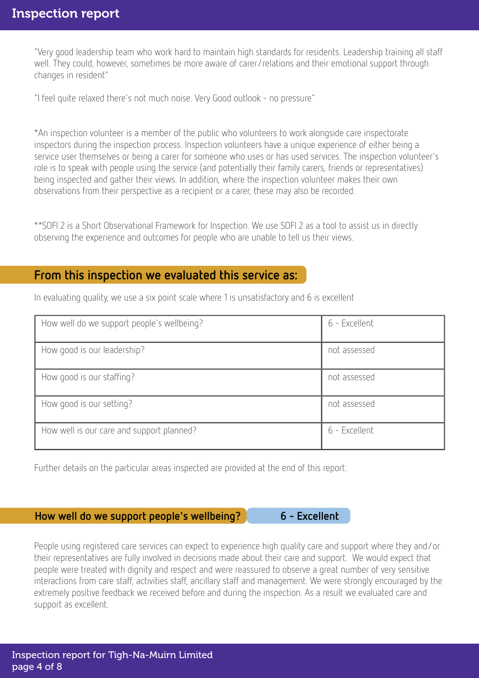"Very good leadership team who work hard to maintain high standards for residents. Leadership training all staff well. They could, however, sometimes be more aware of carer/relations and their emotional support through changes in resident"

"I feel quite relaxed there's not much noise. Very Good outlook - no pressure"

\*An inspection volunteer is a member of the public who volunteers to work alongside care inspectorate inspectors during the inspection process. Inspection volunteers have a unique experience of either being a service user themselves or being a carer for someone who uses or has used services. The inspection volunteer's role is to speak with people using the service (and potentially their family carers, friends or representatives) being inspected and gather their views. In addition, where the inspection volunteer makes their own observations from their perspective as a recipient or a carer, these may also be recorded.

\*\*SOFI 2 is a Short Observational Framework for Inspection. We use SOFI 2 as a tool to assist us in directly observing the experience and outcomes for people who are unable to tell us their views.

#### From this inspection we evaluated this service as:

How well do we support people's wellbeing? 6 - Excellent How good is our leadership? Not assessed How good is our staffing? Not assessed How good is our setting? Not assessed How well is our care and support planned? 6 - Excellent

In evaluating quality, we use a six point scale where 1 is unsatisfactory and 6 is excellent

Further details on the particular areas inspected are provided at the end of this report.

How well do we support people's wellbeing? 6 - Excellent

People using registered care services can expect to experience high quality care and support where they and/or their representatives are fully involved in decisions made about their care and support. We would expect that people were treated with dignity and respect and were reassured to observe a great number of very sensitive interactions from care staff, activities staff, ancillary staff and management. We were strongly encouraged by the extremely positive feedback we received before and during the inspection. As a result we evaluated care and support as excellent.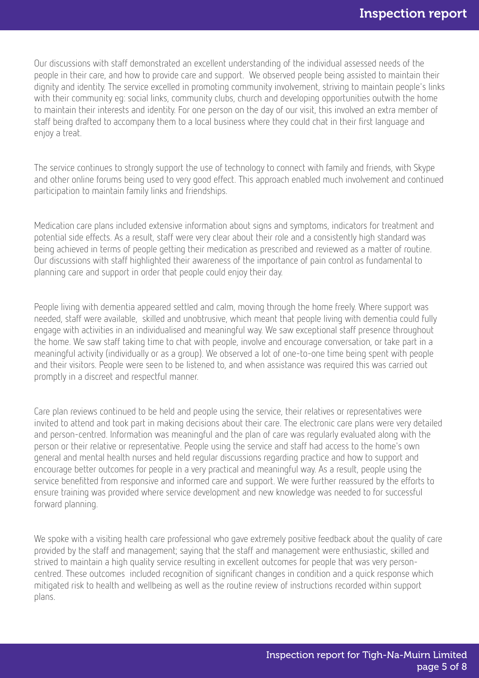Our discussions with staff demonstrated an excellent understanding of the individual assessed needs of the people in their care, and how to provide care and support. We observed people being assisted to maintain their dignity and identity. The service excelled in promoting community involvement, striving to maintain people's links with their community eg: social links, community clubs, church and developing opportunities outwith the home to maintain their interests and identity. For one person on the day of our visit, this involved an extra member of staff being drafted to accompany them to a local business where they could chat in their first language and enjoy a treat.

The service continues to strongly support the use of technology to connect with family and friends, with Skype and other online forums being used to very good effect. This approach enabled much involvement and continued participation to maintain family links and friendships.

Medication care plans included extensive information about signs and symptoms, indicators for treatment and potential side effects. As a result, staff were very clear about their role and a consistently high standard was being achieved in terms of people getting their medication as prescribed and reviewed as a matter of routine. Our discussions with staff highlighted their awareness of the importance of pain control as fundamental to planning care and support in order that people could enjoy their day.

People living with dementia appeared settled and calm, moving through the home freely. Where support was needed, staff were available, skilled and unobtrusive, which meant that people living with dementia could fully engage with activities in an individualised and meaningful way. We saw exceptional staff presence throughout the home. We saw staff taking time to chat with people, involve and encourage conversation, or take part in a meaningful activity (individually or as a group). We observed a lot of one-to-one time being spent with people and their visitors. People were seen to be listened to, and when assistance was required this was carried out promptly in a discreet and respectful manner.

Care plan reviews continued to be held and people using the service, their relatives or representatives were invited to attend and took part in making decisions about their care. The electronic care plans were very detailed and person-centred. Information was meaningful and the plan of care was regularly evaluated along with the person or their relative or representative. People using the service and staff had access to the home's own general and mental health nurses and held regular discussions regarding practice and how to support and encourage better outcomes for people in a very practical and meaningful way. As a result, people using the service benefitted from responsive and informed care and support. We were further reassured by the efforts to ensure training was provided where service development and new knowledge was needed to for successful forward planning.

We spoke with a visiting health care professional who gave extremely positive feedback about the quality of care provided by the staff and management; saying that the staff and management were enthusiastic, skilled and strived to maintain a high quality service resulting in excellent outcomes for people that was very personcentred. These outcomes included recognition of significant changes in condition and a quick response which mitigated risk to health and wellbeing as well as the routine review of instructions recorded within support plans.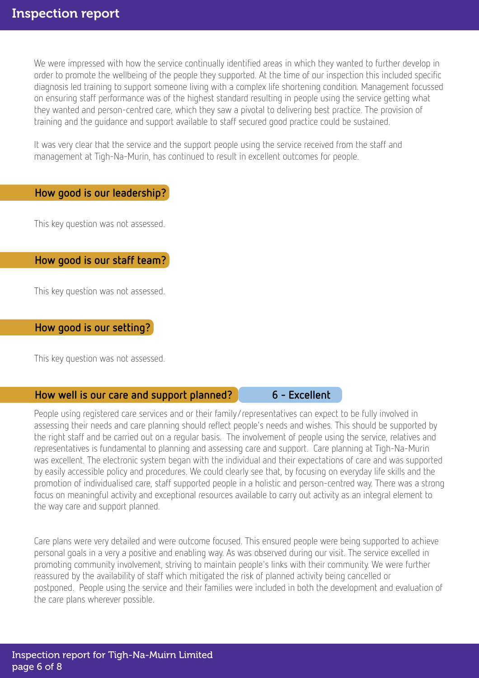We were impressed with how the service continually identified areas in which they wanted to further develop in order to promote the wellbeing of the people they supported. At the time of our inspection this included specific diagnosis led training to support someone living with a complex life shortening condition. Management focussed on ensuring staff performance was of the highest standard resulting in people using the service getting what they wanted and person-centred care, which they saw a pivotal to delivering best practice. The provision of training and the guidance and support available to staff secured good practice could be sustained.

It was very clear that the service and the support people using the service received from the staff and management at Tigh-Na-Murin, has continued to result in excellent outcomes for people.

#### How good is our leadership?

This key question was not assessed.

#### How good is our staff team?

This key question was not assessed.

#### How good is our setting?

This key question was not assessed.

#### How well is our care and support planned? 6 - Excellent

People using registered care services and or their family/representatives can expect to be fully involved in assessing their needs and care planning should reflect people's needs and wishes. This should be supported by the right staff and be carried out on a regular basis. The involvement of people using the service, relatives and representatives is fundamental to planning and assessing care and support. Care planning at Tigh-Na-Murin was excellent. The electronic system began with the individual and their expectations of care and was supported by easily accessible policy and procedures. We could clearly see that, by focusing on everyday life skills and the promotion of individualised care, staff supported people in a holistic and person-centred way. There was a strong focus on meaningful activity and exceptional resources available to carry out activity as an integral element to the way care and support planned.

Care plans were very detailed and were outcome focused. This ensured people were being supported to achieve personal goals in a very a positive and enabling way. As was observed during our visit. The service excelled in promoting community involvement, striving to maintain people's links with their community. We were further reassured by the availability of staff which mitigated the risk of planned activity being cancelled or postponed. People using the service and their families were included in both the development and evaluation of the care plans wherever possible.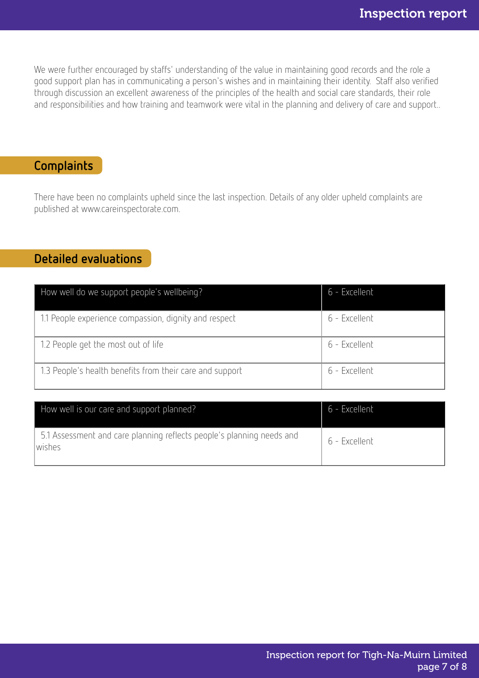We were further encouraged by staffs' understanding of the value in maintaining good records and the role a good support plan has in communicating a person's wishes and in maintaining their identity. Staff also verified through discussion an excellent awareness of the principles of the health and social care standards, their role and responsibilities and how training and teamwork were vital in the planning and delivery of care and support..

## Complaints

There have been no complaints upheld since the last inspection. Details of any older upheld complaints are published at www.careinspectorate.com.

### Detailed evaluations

| How well do we support people's wellbeing?               | 6 - Excellent |
|----------------------------------------------------------|---------------|
| 1.1 People experience compassion, dignity and respect    | 6 - Excellent |
| 1.2 People get the most out of life                      | 6 - Excellent |
| 1.3 People's health benefits from their care and support | 6 - Excellent |

| How well is our care and support planned?                                       | 6 - Excellent |
|---------------------------------------------------------------------------------|---------------|
| 5.1 Assessment and care planning reflects people's planning needs and<br>wishes | 6 - Excellent |